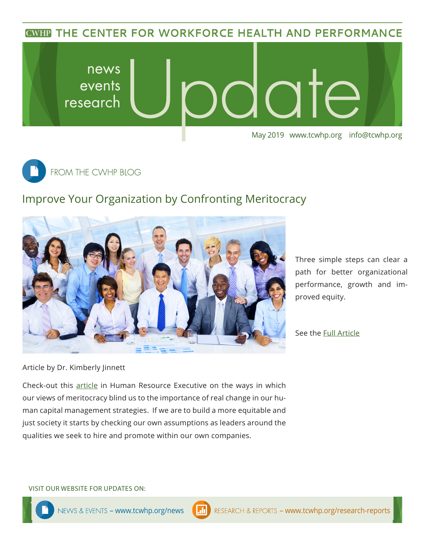**CWHP THE CENTER FOR WORKFORCE HEALTH AND PERFORMANCE** 





## Improve Your Organization by Confronting Meritocracy



Three simple steps can clear a path for better organizational performance, growth and improved equity.

See the [Full A](http://hrexecutive.com/3-steps-to-help-your-companys-leadership-to-reflect-its-workforce/)rticle

Article by Dr. Kimberly Jinnett

Check-out this [article](http://hrexecutive.com/3-steps-to-help-your-companys-leadership-to-reflect-its-workforce/) in Human Resource Executive on the ways in which our views of meritocracy blind us to the importance of real change in our human capital management strategies. If we are to build a more equitable and just society it starts by checking our own assumptions as leaders around the qualities we seek to hire and promote within our own companies.

VISIT OUR WEBSITE FOR UPDATES ON: